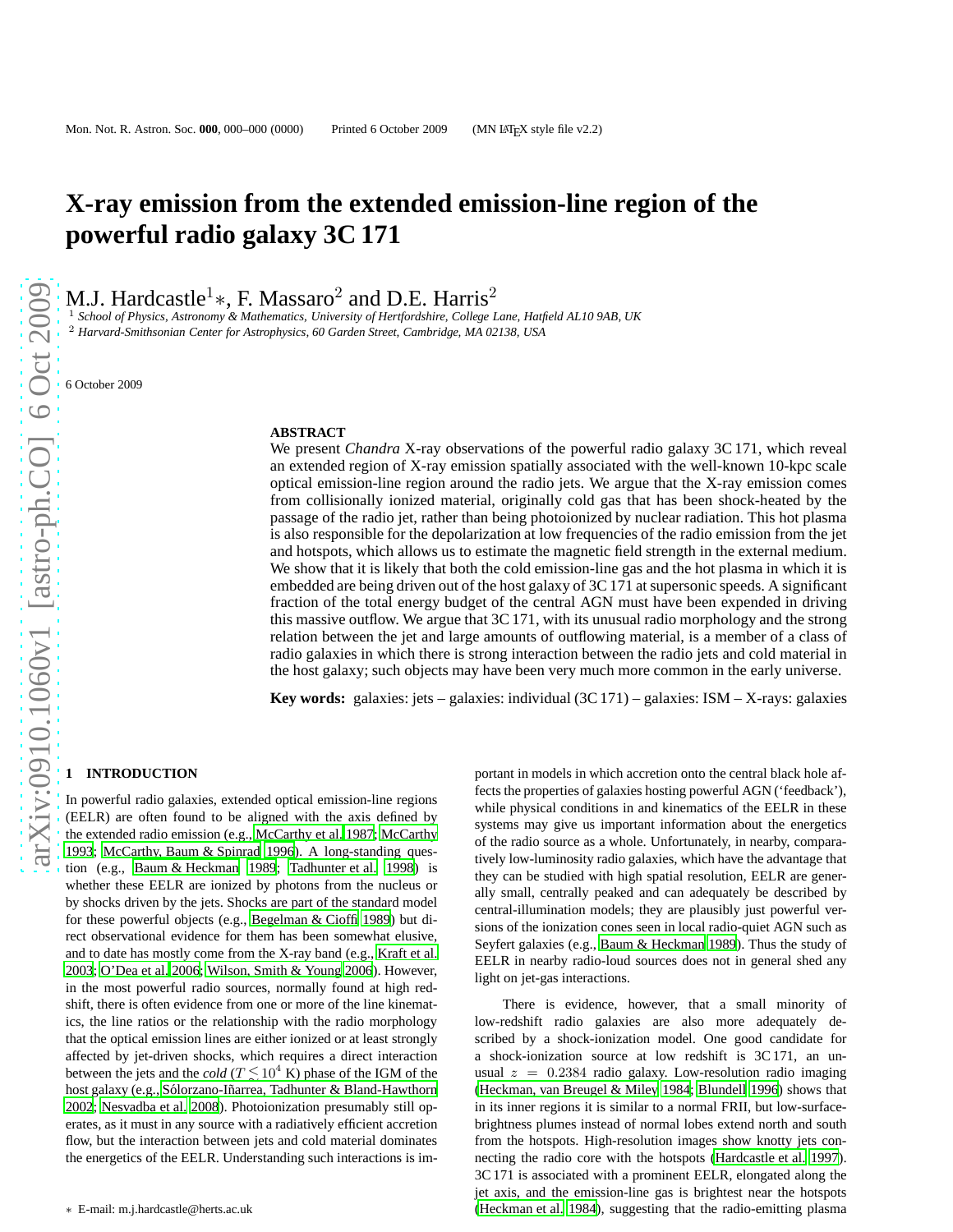# **X-ray emission from the extended emission-line region of the powerful radio galaxy 3C 171**

M.J. Hardcastle<sup>1</sup>\*, F. Massaro<sup>2</sup> and D.E. Harris<sup>2</sup>

<sup>1</sup> *School of Physics, Astronomy & Mathematics, University of Hertfordshire, College Lane, Hatfield AL10 9AB, UK* <sup>2</sup> *Harvard-Smithsonian Center for Astrophysics, 60 Garden Street, Cambridge, MA 02138, USA*

6 October 2009

### **ABSTRACT**

We present *Chandra* X-ray observations of the powerful radio galaxy 3C 171, which reveal an extended region of X-ray emission spatially associated with the well-known 10-kpc scale optical emission-line region around the radio jets. We argue that the X-ray emission comes from collisionally ionized material, originally cold gas that has been shock-heated by the passage of the radio jet, rather than being photoionized by nuclear radiation. This hot plasma is also responsible for the depolarization at low frequencies of the radio emission from the jet and hotspots, which allows us to estimate the magnetic field strength in the external medium. We show that it is likely that both the cold emission-line gas and the hot plasma in which it is embedded are being driven out of the host galaxy of 3C 171 at supersonic speeds. A significant fraction of the total energy budget of the central AGN must have been expended in driving this massive outflow. We argue that  $3C$  171, with its unusual radio morphology and the strong relation between the jet and large amounts of outflowing material, is a member of a class of radio galaxies in which there is strong interaction between the radio jets and cold material in the host galaxy; such objects may have been very much more common in the early universe.

**Key words:** galaxies: jets – galaxies: individual (3C 171) – galaxies: ISM – X-rays: galaxies

## **1 INTRODUCTION**

In powerful radio galaxies, extended optical emission-line regions (EELR) are often found to be aligned with the axis defined by the extended radio emission (e.g., [McCarthy et al. 1987](#page-8-0); [McCarthy](#page-8-1) [1993;](#page-8-1) [McCarthy, Baum & Spinrad 1996](#page-8-2)). A long-standing question (e.g., [Baum & Heckman 1989;](#page-8-3) [Tadhunter et al. 1998](#page-8-4)) is whether these EELR are ionized by photons from the nucleus or by shocks driven by the jets. Shocks are part of the standard model for these powerful objects (e.g., [Begelman & Cioffi 1989](#page-8-5)) but direct observational evidence for them has been somewhat elusive, and to date has mostly come from the X-ray band (e.g., [Kraft et](#page-8-6) al. [2003;](#page-8-6) [O'Dea et al. 2006](#page-8-7); [Wilson, Smith & Young 2006](#page-8-8)). However, in the most powerful radio sources, normally found at high redshift, there is often evidence from one or more of the line kinematics, the line ratios or the relationship with the radio morphology that the optical emission lines are either ionized or at least strongly affected by jet-driven shocks, which requires a direct interaction between the jets and the *cold* ( $T \lesssim 10^4$  K) phase of the IGM of the host galaxy (e.g., Sólorzano-Iñarrea, Tadhunter & Bland-Hawthorn [2002;](#page-8-9) [Nesvadba et al. 2008\)](#page-8-10). Photoionization presumably still operates, as it must in any source with a radiatively efficient accretion flow, but the interaction between jets and cold material dominates the energetics of the EELR. Understanding such interactions is im-

portant in models in which accretion onto the central black hole affects the properties of galaxies hosting powerful AGN ('feedback'), while physical conditions in and kinematics of the EELR in these systems may give us important information about the energetics of the radio source as a whole. Unfortunately, in nearby, comparatively low-luminosity radio galaxies, which have the advantage that they can be studied with high spatial resolution, EELR are generally small, centrally peaked and can adequately be described by central-illumination models; they are plausibly just powerful versions of the ionization cones seen in local radio-quiet AGN such as Seyfert galaxies (e.g., [Baum & Heckman 1989](#page-8-3)). Thus the study of EELR in nearby radio-loud sources does not in general shed any light on jet-gas interactions.

There is evidence, however, that a small minority of low-redshift radio galaxies are also more adequately described by a shock-ionization model. One good candidate for a shock-ionization source at low redshift is 3C 171, an unusual  $z = 0.2384$  radio galaxy. Low-resolution radio imaging [\(Heckman, van Breugel & Miley 1984;](#page-8-11) [Blundell 1996](#page-8-12)) shows that in its inner regions it is similar to a normal FRII, but low-surfacebrightness plumes instead of normal lobes extend north and south from the hotspots. High-resolution images show knotty jets connecting the radio core with the hotspots [\(Hardcastle et al. 1997](#page-8-13)). 3C 171 is associated with a prominent EELR, elongated along the jet axis, and the emission-line gas is brightest near the hotspots [\(Heckman et al. 1984](#page-8-11)), suggesting that the radio-emitting plasma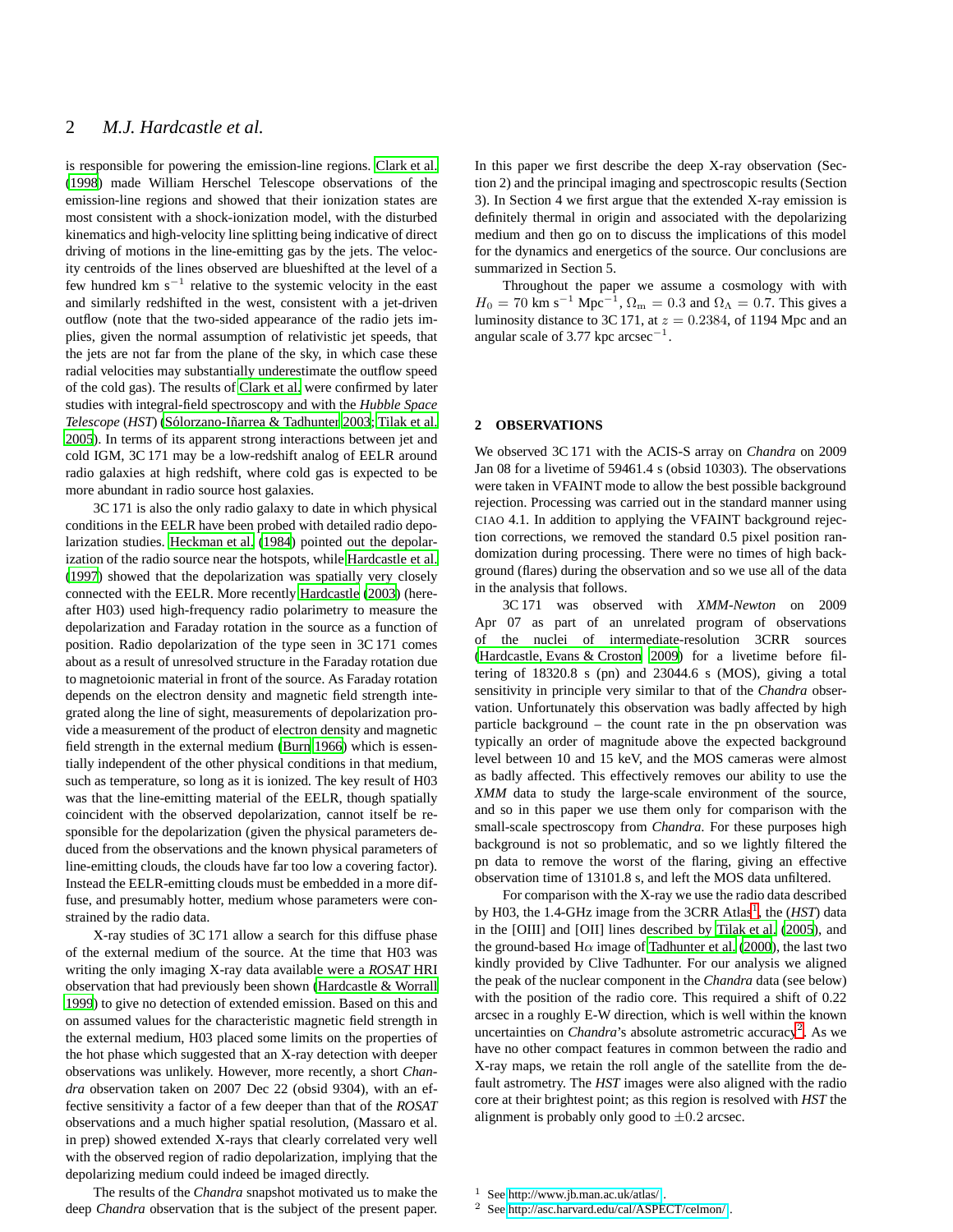## 2 *M.J. Hardcastle et al.*

is responsible for powering the emission-line regions. [Clark et al.](#page-8-14) [\(1998\)](#page-8-14) made William Herschel Telescope observations of the emission-line regions and showed that their ionization states are most consistent with a shock-ionization model, with the disturbed kinematics and high-velocity line splitting being indicative of direct driving of motions in the line-emitting gas by the jets. The velocity centroids of the lines observed are blueshifted at the level of a few hundred km  $s^{-1}$  relative to the systemic velocity in the east and similarly redshifted in the west, consistent with a jet-driven outflow (note that the two-sided appearance of the radio jets implies, given the normal assumption of relativistic jet speeds, that the jets are not far from the plane of the sky, in which case these radial velocities may substantially underestimate the outflow speed of the cold gas). The results of [Clark et al.](#page-8-14) were confirmed by later studies with integral-field spectroscopy and with the *Hubble Space Telescope* (*HST*) [\(S´olorzano-I˜narrea & Tadhunter 2003](#page-8-15); [Tilak et al.](#page-8-16) [2005](#page-8-16)). In terms of its apparent strong interactions between jet and cold IGM, 3C 171 may be a low-redshift analog of EELR around radio galaxies at high redshift, where cold gas is expected to be more abundant in radio source host galaxies.

3C 171 is also the only radio galaxy to date in which physical conditions in the EELR have been probed with detailed radio depolarization studies. [Heckman et al. \(1984](#page-8-11)) pointed out the depolarization of the radio source near the hotspots, while [Hardcastle et al.](#page-8-13) [\(1997](#page-8-13)) showed that the depolarization was spatially very closely connected with the EELR. More recently [Hardcastle](#page-8-17) [\(2003](#page-8-17)) (hereafter H03) used high-frequency radio polarimetry to measure the depolarization and Faraday rotation in the source as a function of position. Radio depolarization of the type seen in 3C 171 comes about as a result of unresolved structure in the Faraday rotation due to magnetoionic material in front of the source. As Faraday rotation depends on the electron density and magnetic field strength integrated along the line of sight, measurements of depolarization provide a measurement of the product of electron density and magnetic field strength in the external medium [\(Burn 1966](#page-8-18)) which is essentially independent of the other physical conditions in that medium, such as temperature, so long as it is ionized. The key result of H03 was that the line-emitting material of the EELR, though spatially coincident with the observed depolarization, cannot itself be responsible for the depolarization (given the physical parameters deduced from the observations and the known physical parameters of line-emitting clouds, the clouds have far too low a covering factor). Instead the EELR-emitting clouds must be embedded in a more diffuse, and presumably hotter, medium whose parameters were constrained by the radio data.

X-ray studies of 3C 171 allow a search for this diffuse phase of the external medium of the source. At the time that H03 was writing the only imaging X-ray data available were a *ROSAT* HRI observation that had previously been shown [\(Hardcastle & Worrall](#page-8-19) [1999](#page-8-19)) to give no detection of extended emission. Based on this and on assumed values for the characteristic magnetic field strength in the external medium, H03 placed some limits on the properties of the hot phase which suggested that an X-ray detection with deeper observations was unlikely. However, more recently, a short *Chandra* observation taken on 2007 Dec 22 (obsid 9304), with an effective sensitivity a factor of a few deeper than that of the *ROSAT* observations and a much higher spatial resolution, (Massaro et al. in prep) showed extended X-rays that clearly correlated very well with the observed region of radio depolarization, implying that the depolarizing medium could indeed be imaged directly.

The results of the *Chandra* snapshot motivated us to make the deep *Chandra* observation that is the subject of the present paper.

In this paper we first describe the deep X-ray observation (Section 2) and the principal imaging and spectroscopic results (Section 3). In Section 4 we first argue that the extended X-ray emission is definitely thermal in origin and associated with the depolarizing medium and then go on to discuss the implications of this model for the dynamics and energetics of the source. Our conclusions are summarized in Section 5.

Throughout the paper we assume a cosmology with with  $H_0 = 70$  km s<sup>-1</sup> Mpc<sup>-1</sup>,  $\Omega_{\rm m} = 0.3$  and  $\Omega_{\Lambda} = 0.7$ . This gives a luminosity distance to 3C 171, at  $z = 0.2384$ , of 1194 Mpc and an angular scale of 3.77 kpc  $\arccos^{-1}$ .

## **2 OBSERVATIONS**

We observed 3C 171 with the ACIS-S array on *Chandra* on 2009 Jan 08 for a livetime of 59461.4 s (obsid 10303). The observations were taken in VFAINT mode to allow the best possible background rejection. Processing was carried out in the standard manner using CIAO 4.1. In addition to applying the VFAINT background rejection corrections, we removed the standard 0.5 pixel position randomization during processing. There were no times of high background (flares) during the observation and so we use all of the data in the analysis that follows.

3C 171 was observed with *XMM-Newton* on 2009 Apr 07 as part of an unrelated program of observations of the nuclei of intermediate-resolution 3CRR sources [\(Hardcastle, Evans & Croston 2009](#page-8-20)) for a livetime before filtering of 18320.8 s (pn) and 23044.6 s (MOS), giving a total sensitivity in principle very similar to that of the *Chandra* observation. Unfortunately this observation was badly affected by high particle background – the count rate in the pn observation was typically an order of magnitude above the expected background level between 10 and 15 keV, and the MOS cameras were almost as badly affected. This effectively removes our ability to use the *XMM* data to study the large-scale environment of the source, and so in this paper we use them only for comparison with the small-scale spectroscopy from *Chandra*. For these purposes high background is not so problematic, and so we lightly filtered the pn data to remove the worst of the flaring, giving an effective observation time of 13101.8 s, and left the MOS data unfiltered.

For comparison with the X-ray we use the radio data described by H03, the [1](#page-1-0).4-GHz image from the 3CRR Atlas<sup>1</sup>, the (*HST*) data in the [OIII] and [OII] lines described by [Tilak et al. \(2005\)](#page-8-16), and the ground-based H $\alpha$  image of [Tadhunter et al. \(2000\)](#page-8-21), the last two kindly provided by Clive Tadhunter. For our analysis we aligned the peak of the nuclear component in the *Chandra* data (see below) with the position of the radio core. This required a shift of 0.22 arcsec in a roughly E-W direction, which is well within the known uncertainties on *Chandra*'s absolute astrometric accuracy<sup>[2](#page-1-1)</sup>. As we have no other compact features in common between the radio and X-ray maps, we retain the roll angle of the satellite from the default astrometry. The *HST* images were also aligned with the radio core at their brightest point; as this region is resolved with *HST* the alignment is probably only good to  $\pm 0.2$  arcsec.

See<http://www.jb.man.ac.uk/atlas/>.

<span id="page-1-1"></span><span id="page-1-0"></span><sup>2</sup> See<http://asc.harvard.edu/cal/ASPECT/celmon/> .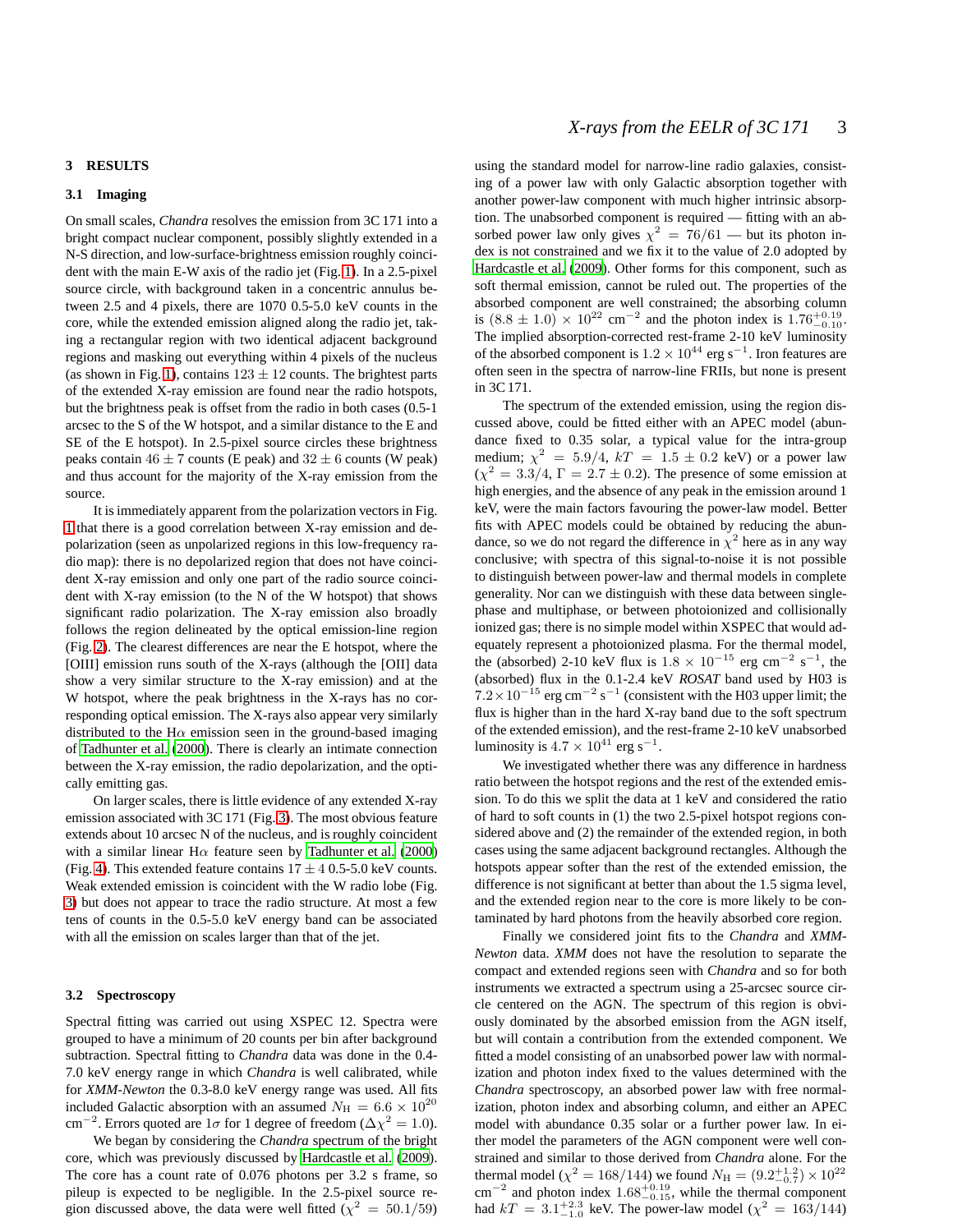## **3 RESULTS**

## **3.1 Imaging**

On small scales, *Chandra* resolves the emission from 3C 171 into a bright compact nuclear component, possibly slightly extended in a N-S direction, and low-surface-brightness emission roughly coincident with the main E-W axis of the radio jet (Fig. [1\)](#page-3-0). In a 2.5-pixel source circle, with background taken in a concentric annulus between 2.5 and 4 pixels, there are 1070 0.5-5.0 keV counts in the core, while the extended emission aligned along the radio jet, taking a rectangular region with two identical adjacent background regions and masking out everything within 4 pixels of the nucleus (as shown in Fig. [1\)](#page-3-0), contains  $123 \pm 12$  counts. The brightest parts of the extended X-ray emission are found near the radio hotspots, but the brightness peak is offset from the radio in both cases (0.5-1 arcsec to the S of the W hotspot, and a similar distance to the E and SE of the E hotspot). In 2.5-pixel source circles these brightness peaks contain  $46 \pm 7$  counts (E peak) and  $32 \pm 6$  counts (W peak) and thus account for the majority of the X-ray emission from the source.

It is immediately apparent from the polarization vectors in Fig. [1](#page-3-0) that there is a good correlation between X-ray emission and depolarization (seen as unpolarized regions in this low-frequency radio map): there is no depolarized region that does not have coincident X-ray emission and only one part of the radio source coincident with X-ray emission (to the N of the W hotspot) that shows significant radio polarization. The X-ray emission also broadly follows the region delineated by the optical emission-line region (Fig. [2\)](#page-4-0). The clearest differences are near the E hotspot, where the [OIII] emission runs south of the X-rays (although the [OII] data show a very similar structure to the X-ray emission) and at the W hotspot, where the peak brightness in the X-rays has no corresponding optical emission. The X-rays also appear very similarly distributed to the H $\alpha$  emission seen in the ground-based imaging of [Tadhunter et al.](#page-8-21) [\(2000](#page-8-21)). There is clearly an intimate connection between the X-ray emission, the radio depolarization, and the optically emitting gas.

On larger scales, there is little evidence of any extended X-ray emission associated with 3C 171 (Fig. [3\)](#page-5-0). The most obvious feature extends about 10 arcsec N of the nucleus, and is roughly coincident with a similar linear H $\alpha$  feature seen by [Tadhunter et al. \(2000](#page-8-21)) (Fig. [4\)](#page-5-1). This extended feature contains  $17 \pm 40.5$ -5.0 keV counts. Weak extended emission is coincident with the W radio lobe (Fig. [3\)](#page-5-0) but does not appear to trace the radio structure. At most a few tens of counts in the 0.5-5.0 keV energy band can be associated with all the emission on scales larger than that of the jet.

#### <span id="page-2-0"></span>**3.2 Spectroscopy**

Spectral fitting was carried out using XSPEC 12. Spectra were grouped to have a minimum of 20 counts per bin after background subtraction. Spectral fitting to *Chandra* data was done in the 0.4- 7.0 keV energy range in which *Chandra* is well calibrated, while for *XMM-Newton* the 0.3-8.0 keV energy range was used. All fits included Galactic absorption with an assumed  $N_{\rm H} = 6.6 \times 10^{20}$ cm<sup>-2</sup>. Errors quoted are  $1\sigma$  for 1 degree of freedom ( $\Delta \chi^2 = 1.0$ ).

We began by considering the *Chandra* spectrum of the bright core, which was previously discussed by [Hardcastle et al. \(2009\)](#page-8-20). The core has a count rate of 0.076 photons per 3.2 s frame, so pileup is expected to be negligible. In the 2.5-pixel source region discussed above, the data were well fitted ( $\chi^2 = 50.1/59$ )

using the standard model for narrow-line radio galaxies, consisting of a power law with only Galactic absorption together with another power-law component with much higher intrinsic absorption. The unabsorbed component is required — fitting with an absorbed power law only gives  $\chi^2 = 76/61$  — but its photon index is not constrained and we fix it to the value of 2.0 adopted by [Hardcastle et al. \(2009](#page-8-20)). Other forms for this component, such as soft thermal emission, cannot be ruled out. The properties of the absorbed component are well constrained; the absorbing column is  $(8.8 \pm 1.0) \times 10^{22}$  cm<sup>-2</sup> and the photon index is 1.76<sup>+0.19</sup><sub>-0.10</sub>. The implied absorption-corrected rest-frame 2-10 keV luminosity of the absorbed component is  $1.2 \times 10^{44}$  erg s<sup>-1</sup>. Iron features are often seen in the spectra of narrow-line FRIIs, but none is present in 3C 171.

The spectrum of the extended emission, using the region discussed above, could be fitted either with an APEC model (abundance fixed to 0.35 solar, a typical value for the intra-group medium;  $\chi^2 = 5.9/4$ ,  $kT = 1.5 \pm 0.2$  keV) or a power law  $(\chi^2 = 3.3/4, \Gamma = 2.7 \pm 0.2)$ . The presence of some emission at high energies, and the absence of any peak in the emission around 1 keV, were the main factors favouring the power-law model. Better fits with APEC models could be obtained by reducing the abundance, so we do not regard the difference in  $\chi^2$  here as in any way conclusive; with spectra of this signal-to-noise it is not possible to distinguish between power-law and thermal models in complete generality. Nor can we distinguish with these data between singlephase and multiphase, or between photoionized and collisionally ionized gas; there is no simple model within XSPEC that would adequately represent a photoionized plasma. For the thermal model, the (absorbed) 2-10 keV flux is  $1.8 \times 10^{-15}$  erg cm<sup>-2</sup> s<sup>-1</sup>, the (absorbed) flux in the 0.1-2.4 keV *ROSAT* band used by H03 is  $7.2 \times 10^{-15}$  erg cm<sup>-2</sup> s<sup>-1</sup> (consistent with the H03 upper limit; the flux is higher than in the hard X-ray band due to the soft spectrum of the extended emission), and the rest-frame 2-10 keV unabsorbed luminosity is  $4.7 \times 10^{41}$  erg s<sup>-1</sup>.

We investigated whether there was any difference in hardness ratio between the hotspot regions and the rest of the extended emission. To do this we split the data at 1 keV and considered the ratio of hard to soft counts in (1) the two 2.5-pixel hotspot regions considered above and (2) the remainder of the extended region, in both cases using the same adjacent background rectangles. Although the hotspots appear softer than the rest of the extended emission, the difference is not significant at better than about the 1.5 sigma level, and the extended region near to the core is more likely to be contaminated by hard photons from the heavily absorbed core region.

Finally we considered joint fits to the *Chandra* and *XMM-Newton* data. *XMM* does not have the resolution to separate the compact and extended regions seen with *Chandra* and so for both instruments we extracted a spectrum using a 25-arcsec source circle centered on the AGN. The spectrum of this region is obviously dominated by the absorbed emission from the AGN itself, but will contain a contribution from the extended component. We fitted a model consisting of an unabsorbed power law with normalization and photon index fixed to the values determined with the *Chandra* spectroscopy, an absorbed power law with free normalization, photon index and absorbing column, and either an APEC model with abundance 0.35 solar or a further power law. In either model the parameters of the AGN component were well constrained and similar to those derived from *Chandra* alone. For the thermal model ( $\chi^2 = 168/144$ ) we found  $N_H = (9.2^{+1.2}_{-0.7}) \times 10^{22}$  $\text{cm}^{-2}$  and photon index 1.68<sup>+0.19</sup>, while the thermal component had  $kT = 3.1^{+2.3}_{-1.0}$  keV. The power-law model ( $\chi^2 = 163/144$ )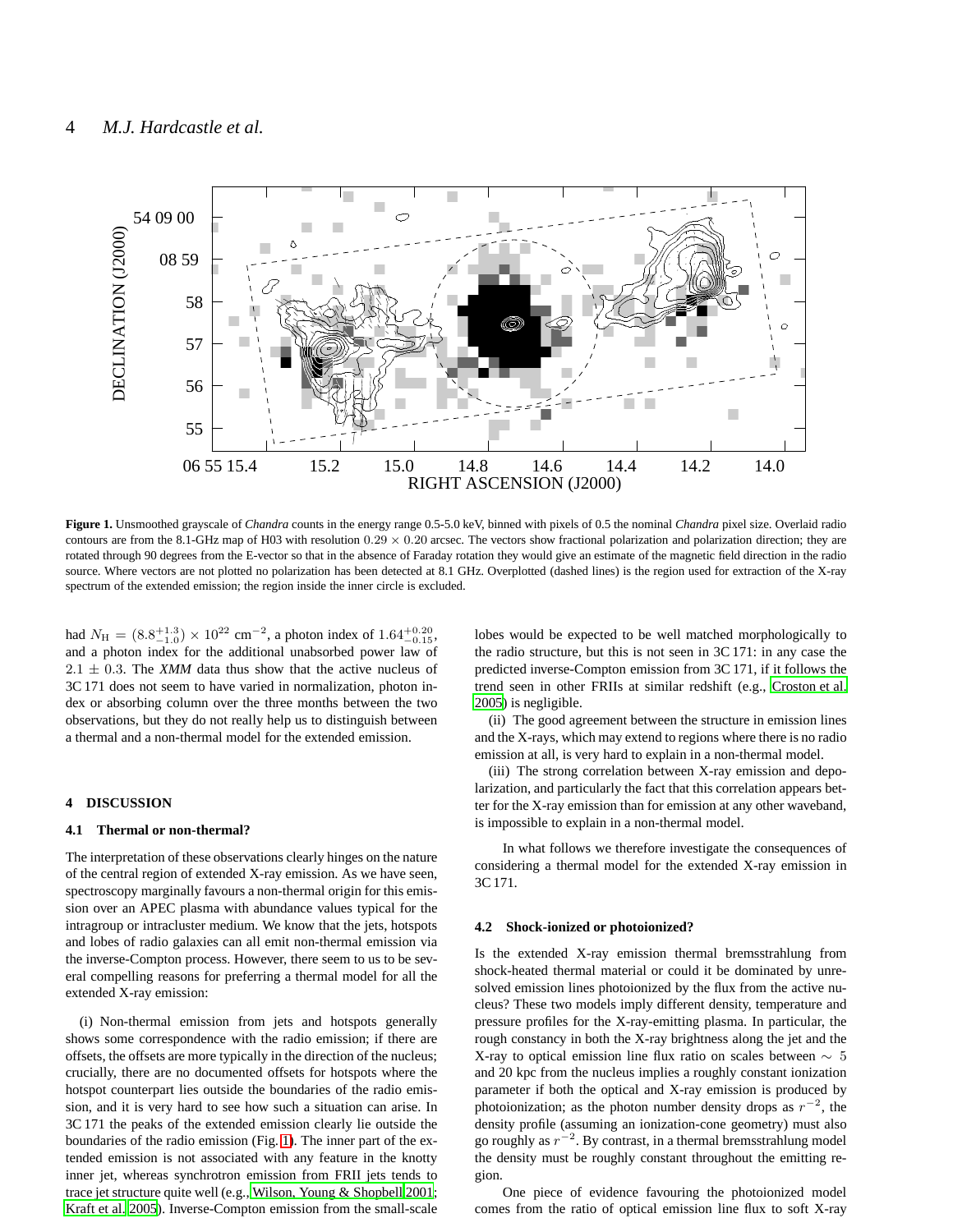

<span id="page-3-0"></span>**Figure 1.** Unsmoothed grayscale of *Chandra* counts in the energy range 0.5-5.0 keV, binned with pixels of 0.5 the nominal *Chandra* pixel size. Overlaid radio contours are from the 8.1-GHz map of H03 with resolution  $0.29 \times 0.20$  arcsec. The vectors show fractional polarization and polarization direction; they are rotated through 90 degrees from the E-vector so that in the absence of Faraday rotation they would give an estimate of the magnetic field direction in the radio source. Where vectors are not plotted no polarization has been detected at 8.1 GHz. Overplotted (dashed lines) is the region used for extraction of the X-ray spectrum of the extended emission; the region inside the inner circle is excluded.

had  $N_{\rm H} = (8.8^{+1.3}_{-1.0}) \times 10^{22}$  cm<sup>-2</sup>, a photon index of  $1.64^{+0.20}_{-0.15}$ , and a photon index for the additional unabsorbed power law of  $2.1 \pm 0.3$ . The *XMM* data thus show that the active nucleus of 3C 171 does not seem to have varied in normalization, photon index or absorbing column over the three months between the two observations, but they do not really help us to distinguish between a thermal and a non-thermal model for the extended emission.

## **4 DISCUSSION**

## **4.1 Thermal or non-thermal?**

The interpretation of these observations clearly hinges on the nature of the central region of extended X-ray emission. As we have seen, spectroscopy marginally favours a non-thermal origin for this emission over an APEC plasma with abundance values typical for the intragroup or intracluster medium. We know that the jets, hotspots and lobes of radio galaxies can all emit non-thermal emission via the inverse-Compton process. However, there seem to us to be several compelling reasons for preferring a thermal model for all the extended X-ray emission:

(i) Non-thermal emission from jets and hotspots generally shows some correspondence with the radio emission; if there are offsets, the offsets are more typically in the direction of the nucleus; crucially, there are no documented offsets for hotspots where the hotspot counterpart lies outside the boundaries of the radio emission, and it is very hard to see how such a situation can arise. In 3C 171 the peaks of the extended emission clearly lie outside the boundaries of the radio emission (Fig. [1\)](#page-3-0). The inner part of the extended emission is not associated with any feature in the knotty inner jet, whereas synchrotron emission from FRII jets tends to trace jet structure quite well (e.g., [Wilson, Young & Shopbell 2001;](#page-8-22) [Kraft et al. 2005](#page-8-23)). Inverse-Compton emission from the small-scale lobes would be expected to be well matched morphologically to the radio structure, but this is not seen in 3C 171: in any case the predicted inverse-Compton emission from 3C 171, if it follows the trend seen in other FRIIs at similar redshift (e.g., [Croston](#page-8-24) et al. [2005](#page-8-24)) is negligible.

(ii) The good agreement between the structure in emission lines and the X-rays, which may extend to regions where there is no radio emission at all, is very hard to explain in a non-thermal model.

(iii) The strong correlation between X-ray emission and depolarization, and particularly the fact that this correlation appears better for the X-ray emission than for emission at any other waveband, is impossible to explain in a non-thermal model.

In what follows we therefore investigate the consequences of considering a thermal model for the extended X-ray emission in 3C 171.

#### **4.2 Shock-ionized or photoionized?**

Is the extended X-ray emission thermal bremsstrahlung from shock-heated thermal material or could it be dominated by unresolved emission lines photoionized by the flux from the active nucleus? These two models imply different density, temperature and pressure profiles for the X-ray-emitting plasma. In particular, the rough constancy in both the X-ray brightness along the jet and the X-ray to optical emission line flux ratio on scales between  $\sim 5$ and 20 kpc from the nucleus implies a roughly constant ionization parameter if both the optical and X-ray emission is produced by photoionization; as the photon number density drops as  $r^{-2}$ , the density profile (assuming an ionization-cone geometry) must also go roughly as  $r^{-2}$ . By contrast, in a thermal bremsstrahlung model the density must be roughly constant throughout the emitting region.

One piece of evidence favouring the photoionized model comes from the ratio of optical emission line flux to soft X-ray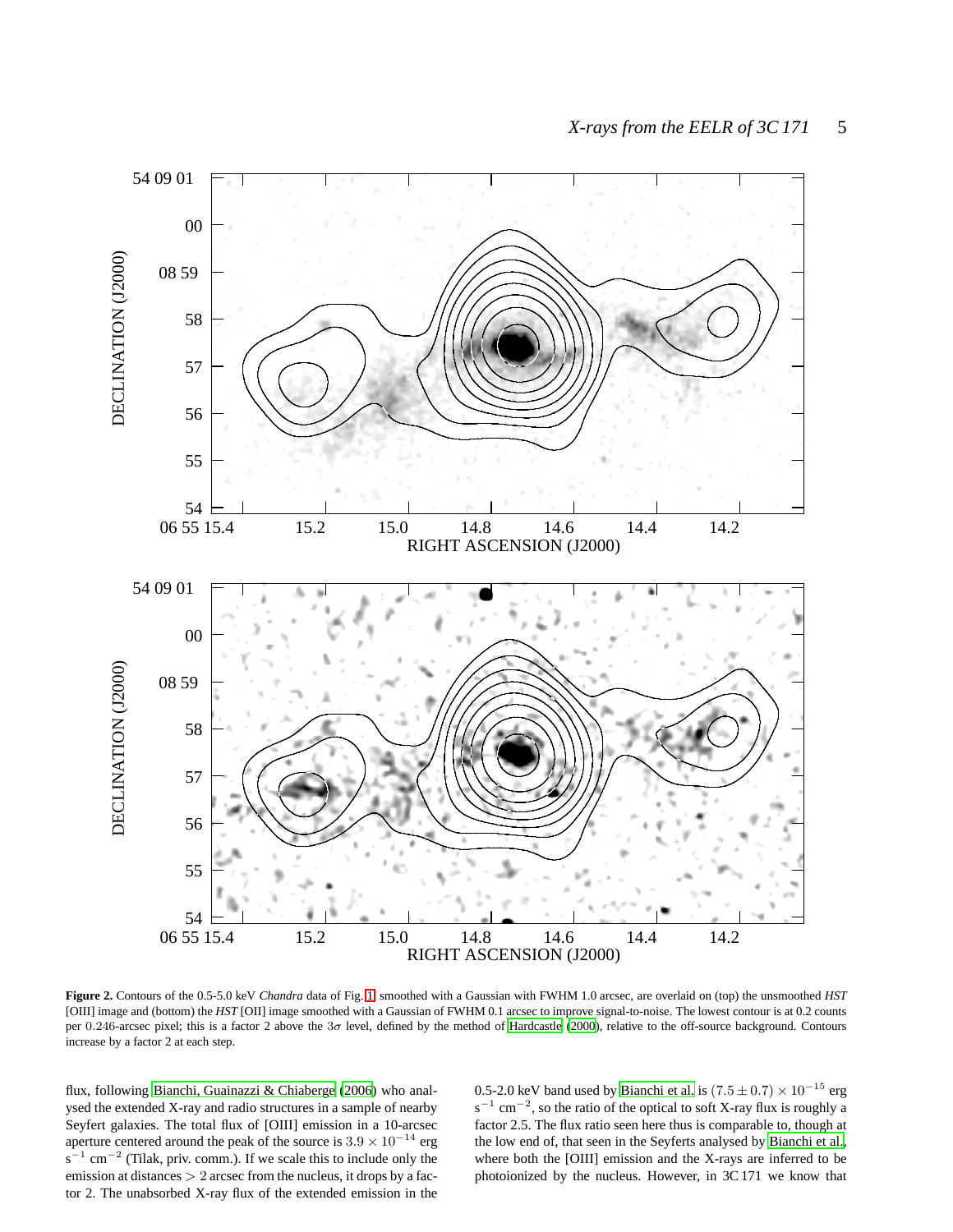

<span id="page-4-0"></span>**Figure 2.** Contours of the 0.5-5.0 keV *Chandra* data of Fig. [1,](#page-3-0) smoothed with a Gaussian with FWHM 1.0 arcsec, are overlaid on (top) the unsmoothed *HST* [OIII] image and (bottom) the *HST* [OII] image smoothed with a Gaussian of FWHM 0.1 arcsec to improve signal-to-noise. The lowest contour is at 0.2 counts per 0.246-arcsec pixel; this is a factor 2 above the  $3\sigma$  level, defined by the method of [Hardcastle \(2000\)](#page-8-25), relative to the off-source background. Contours increase by a factor 2 at each step.

flux, following [Bianchi, Guainazzi & Chiaberge \(2006](#page-8-26)) who analysed the extended X-ray and radio structures in a sample of nearby Seyfert galaxies. The total flux of [OIII] emission in a 10-arcsec aperture centered around the peak of the source is  $3.9 \times 10^{-14}$  erg  $s^{-1}$  cm<sup>-2</sup> (Tilak, priv. comm.). If we scale this to include only the emission at distances  $> 2$  arcsec from the nucleus, it drops by a factor 2. The unabsorbed X-ray flux of the extended emission in the 0.5-2.0 keV band used by [Bianchi et al.](#page-8-26) is  $(7.5 \pm 0.7) \times 10^{-15}$  erg  $s^{-1}$  cm<sup>-2</sup>, so the ratio of the optical to soft X-ray flux is roughly a factor 2.5. The flux ratio seen here thus is comparable to, though at the low end of, that seen in the Seyferts analysed by [Bianchi et al.](#page-8-26), where both the [OIII] emission and the X-rays are inferred to be photoionized by the nucleus. However, in 3C 171 we know that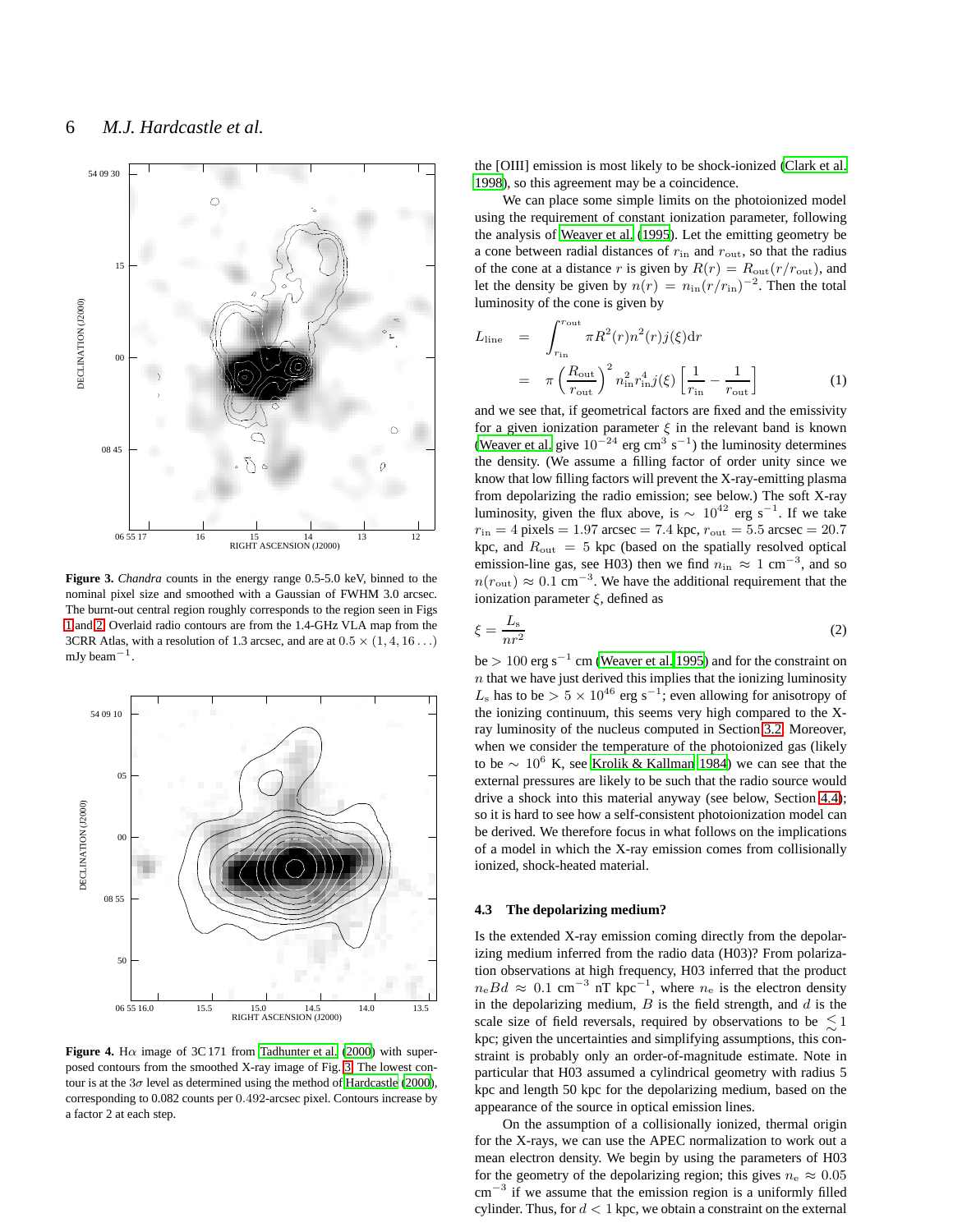

<span id="page-5-0"></span>**Figure 3.** *Chandra* counts in the energy range 0.5-5.0 keV, binned to the nominal pixel size and smoothed with a Gaussian of FWHM 3.0 arcsec. The burnt-out central region roughly corresponds to the region seen in Figs [1](#page-3-0) and [2.](#page-4-0) Overlaid radio contours are from the 1.4-GHz VLA map from the 3CRR Atlas, with a resolution of 1.3 arcsec, and are at  $0.5 \times (1, 4, 16...)$ mJy beam−<sup>1</sup> .



<span id="page-5-1"></span>**Figure 4.** H $\alpha$  image of 3C 171 from [Tadhunter et al.](#page-8-21) [\(2000](#page-8-21)) with superposed contours from the smoothed X-ray image of Fig. [3.](#page-5-0) The lowest contour is at the  $3\sigma$  level as determined using the method of [Hardcastle](#page-8-25) [\(2000](#page-8-25)), corresponding to 0.082 counts per 0.492-arcsec pixel. Contours increase by a factor 2 at each step.

the [OIII] emission is most likely to be shock-ionized [\(Clark et al.](#page-8-14) [1998](#page-8-14)), so this agreement may be a coincidence.

We can place some simple limits on the photoionized model using the requirement of constant ionization parameter, following the analysis of [Weaver et al.](#page-8-27) [\(1995](#page-8-27)). Let the emitting geometry be a cone between radial distances of  $r_{\text{in}}$  and  $r_{\text{out}}$ , so that the radius of the cone at a distance r is given by  $R(r) = R_{\text{out}}(r/r_{\text{out}})$ , and let the density be given by  $n(r) = n_{\text{in}}(r/r_{\text{in}})^{-2}$ . Then the total luminosity of the cone is given by

$$
L_{\text{line}} = \int_{r_{\text{in}}}^{r_{\text{out}}} \pi R^2(r) n^2(r) j(\xi) dr
$$
  

$$
= \pi \left(\frac{R_{\text{out}}}{r_{\text{out}}}\right)^2 n_{\text{in}}^2 r_{\text{in}}^4 j(\xi) \left[\frac{1}{r_{\text{in}}} - \frac{1}{r_{\text{out}}}\right]
$$
(1)

and we see that, if geometrical factors are fixed and the emissivity for a given ionization parameter  $\xi$  in the relevant band is known [\(Weaver et al.](#page-8-27) give  $10^{-24}$  erg cm<sup>3</sup> s<sup>-1</sup>) the luminosity determines the density. (We assume a filling factor of order unity since we know that low filling factors will prevent the X-ray-emitting plasma from depolarizing the radio emission; see below.) The soft X-ray luminosity, given the flux above, is  $\sim 10^{42}$  erg s<sup>-1</sup>. If we take  $r_{\text{in}} = 4$  pixels = 1.97 arcsec = 7.4 kpc,  $r_{\text{out}} = 5.5$  arcsec = 20.7 kpc, and  $R_{\text{out}} = 5$  kpc (based on the spatially resolved optical emission-line gas, see H03) then we find  $n_{\text{in}} \approx 1 \text{ cm}^{-3}$ , and so  $n(r_{\text{out}}) \approx 0.1 \text{ cm}^{-3}$ . We have the additional requirement that the ionization parameter  $\xi$ , defined as

$$
\xi = \frac{L_s}{nr^2} \tag{2}
$$

be > 100 erg s<sup>-1</sup> cm [\(Weaver et al. 1995](#page-8-27)) and for the constraint on  $n$  that we have just derived this implies that the ionizing luminosity  $L_s$  has to be >  $5 \times 10^{46}$  erg s<sup>-1</sup>; even allowing for anisotropy of the ionizing continuum, this seems very high compared to the Xray luminosity of the nucleus computed in Section [3.2.](#page-2-0) Moreover, when we consider the temperature of the photoionized gas (likely to be ∼ 10<sup>6</sup> K, see [Krolik & Kallman 1984](#page-8-28)) we can see that the external pressures are likely to be such that the radio source would drive a shock into this material anyway (see below, Section [4.4\)](#page-6-0); so it is hard to see how a self-consistent photoionization model can be derived. We therefore focus in what follows on the implications of a model in which the X-ray emission comes from collisionally ionized, shock-heated material.

## **4.3 The depolarizing medium?**

Is the extended X-ray emission coming directly from the depolarizing medium inferred from the radio data (H03)? From polarization observations at high frequency, H03 inferred that the product  $n_e B d \approx 0.1$  cm<sup>-3</sup> nT kpc<sup>-1</sup>, where  $n_e$  is the electron density in the depolarizing medium,  $B$  is the field strength, and  $d$  is the scale size of field reversals, required by observations to be  $\lesssim$  1 kpc; given the uncertainties and simplifying assumptions, this constraint is probably only an order-of-magnitude estimate. Note in particular that H03 assumed a cylindrical geometry with radius 5 kpc and length 50 kpc for the depolarizing medium, based on the appearance of the source in optical emission lines.

On the assumption of a collisionally ionized, thermal origin for the X-rays, we can use the APEC normalization to work out a mean electron density. We begin by using the parameters of H03 for the geometry of the depolarizing region; this gives  $n_e \approx 0.05$ cm<sup>-3</sup> if we assume that the emission region is a uniformly filled cylinder. Thus, for  $d < 1$  kpc, we obtain a constraint on the external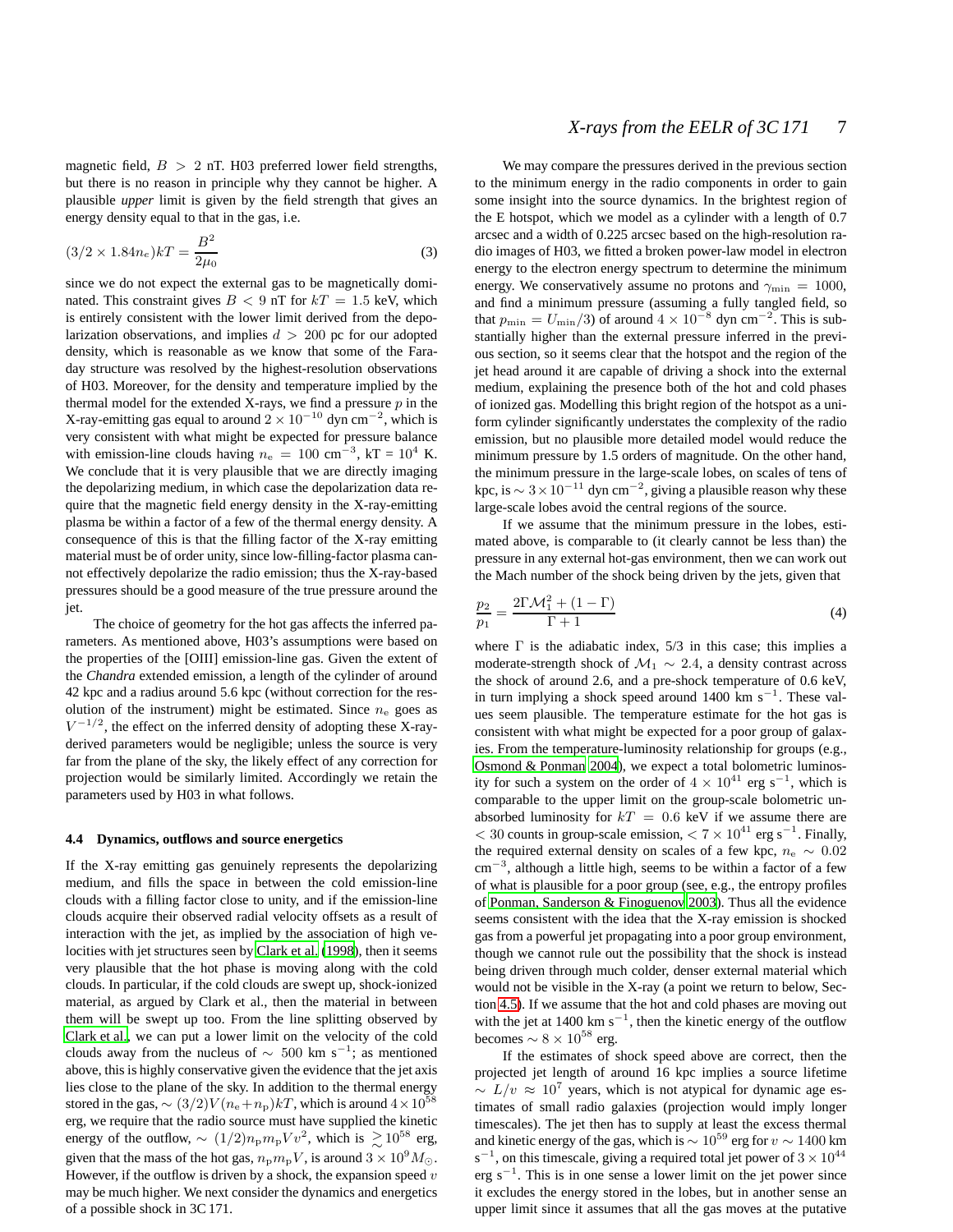magnetic field,  $B > 2$  nT. H03 preferred lower field strengths, but there is no reason in principle why they cannot be higher. A plausible *upper* limit is given by the field strength that gives an energy density equal to that in the gas, i.e.

$$
(3/2 \times 1.84n_e)kT = \frac{B^2}{2\mu_0}
$$
 (3)

since we do not expect the external gas to be magnetically dominated. This constraint gives  $B < 9$  nT for  $kT = 1.5$  keV, which is entirely consistent with the lower limit derived from the depolarization observations, and implies  $d > 200$  pc for our adopted density, which is reasonable as we know that some of the Faraday structure was resolved by the highest-resolution observations of H03. Moreover, for the density and temperature implied by the thermal model for the extended X-rays, we find a pressure  $p$  in the X-ray-emitting gas equal to around  $2 \times 10^{-10}$  dyn cm<sup>-2</sup>, which is very consistent with what might be expected for pressure balance with emission-line clouds having  $n_e = 100 \text{ cm}^{-3}$ , kT =  $10^4$  K. We conclude that it is very plausible that we are directly imaging the depolarizing medium, in which case the depolarization data require that the magnetic field energy density in the X-ray-emitting plasma be within a factor of a few of the thermal energy density. A consequence of this is that the filling factor of the X-ray emitting material must be of order unity, since low-filling-factor plasma cannot effectively depolarize the radio emission; thus the X-ray-based pressures should be a good measure of the true pressure around the jet.

The choice of geometry for the hot gas affects the inferred parameters. As mentioned above, H03's assumptions were based on the properties of the [OIII] emission-line gas. Given the extent of the *Chandra* extended emission, a length of the cylinder of around 42 kpc and a radius around 5.6 kpc (without correction for the resolution of the instrument) might be estimated. Since  $n_e$  goes as  $V^{-1/2}$ , the effect on the inferred density of adopting these X-rayderived parameters would be negligible; unless the source is very far from the plane of the sky, the likely effect of any correction for projection would be similarly limited. Accordingly we retain the parameters used by H03 in what follows.

## <span id="page-6-0"></span>**4.4 Dynamics, outflows and source energetics**

If the X-ray emitting gas genuinely represents the depolarizing medium, and fills the space in between the cold emission-line clouds with a filling factor close to unity, and if the emission-line clouds acquire their observed radial velocity offsets as a result of interaction with the jet, as implied by the association of high velocities with jet structures seen by [Clark et al.](#page-8-14) [\(1998](#page-8-14)), then it seems very plausible that the hot phase is moving along with the cold clouds. In particular, if the cold clouds are swept up, shock-ionized material, as argued by Clark et al., then the material in between them will be swept up too. From the line splitting observed by [Clark et al.,](#page-8-14) we can put a lower limit on the velocity of the cold clouds away from the nucleus of  $\sim 500$  km s<sup>-1</sup>; as mentioned above, this is highly conservative given the evidence that the jet axis lies close to the plane of the sky. In addition to the thermal energy stored in the gas,  $\sim (3/2)V(n_e+n_p)kT$ , which is around  $4\times 10^{58}$ erg, we require that the radio source must have supplied the kinetic energy of the outflow,  $\sim (1/2) n_{\rm p} m_{\rm p} V v^2$ , which is  $\gtrsim 10^{58}$  erg, given that the mass of the hot gas,  $n_{\rm p}m_{\rm p}V$ , is around  $3 \times 10^9 M_{\odot}$ . However, if the outflow is driven by a shock, the expansion speed  $v$ may be much higher. We next consider the dynamics and energetics of a possible shock in 3C 171.

We may compare the pressures derived in the previous section to the minimum energy in the radio components in order to gain some insight into the source dynamics. In the brightest region of the E hotspot, which we model as a cylinder with a length of 0.7 arcsec and a width of 0.225 arcsec based on the high-resolution radio images of H03, we fitted a broken power-law model in electron energy to the electron energy spectrum to determine the minimum energy. We conservatively assume no protons and  $\gamma_{\rm min} = 1000$ , and find a minimum pressure (assuming a fully tangled field, so that  $p_{\min} = U_{\min}/3$ ) of around  $4 \times 10^{-8}$  dyn cm<sup>-2</sup>. This is substantially higher than the external pressure inferred in the previous section, so it seems clear that the hotspot and the region of the jet head around it are capable of driving a shock into the external medium, explaining the presence both of the hot and cold phases of ionized gas. Modelling this bright region of the hotspot as a uniform cylinder significantly understates the complexity of the radio emission, but no plausible more detailed model would reduce the minimum pressure by 1.5 orders of magnitude. On the other hand, the minimum pressure in the large-scale lobes, on scales of tens of kpc, is  $\sim 3 \times 10^{-11}$  dyn cm<sup>-2</sup>, giving a plausible reason why these large-scale lobes avoid the central regions of the source.

If we assume that the minimum pressure in the lobes, estimated above, is comparable to (it clearly cannot be less than) the pressure in any external hot-gas environment, then we can work out the Mach number of the shock being driven by the jets, given that

$$
\frac{p_2}{p_1} = \frac{2\Gamma \mathcal{M}_1^2 + (1 - \Gamma)}{\Gamma + 1}
$$
(4)

where  $\Gamma$  is the adiabatic index,  $5/3$  in this case; this implies a moderate-strength shock of  $\mathcal{M}_1 \sim 2.4$ , a density contrast across the shock of around 2.6, and a pre-shock temperature of 0.6 keV, in turn implying a shock speed around 1400 km s<sup> $-1$ </sup>. These values seem plausible. The temperature estimate for the hot gas is consistent with what might be expected for a poor group of galaxies. From the temperature-luminosity relationship for groups (e.g., [Osmond & Ponman 2004](#page-8-29)), we expect a total bolometric luminosity for such a system on the order of  $4 \times 10^{41}$  erg s<sup>-1</sup>, which is comparable to the upper limit on the group-scale bolometric unabsorbed luminosity for  $kT = 0.6$  keV if we assume there are  $<$  30 counts in group-scale emission,  $<$  7  $\times$  10<sup>41</sup> erg s<sup>-1</sup>. Finally, the required external density on scales of a few kpc,  $n_e \sim 0.02$ cm<sup>−</sup><sup>3</sup> , although a little high, seems to be within a factor of a few of what is plausible for a poor group (see, e.g., the entropy profiles of [Ponman, Sanderson & Finoguenov 2003](#page-8-30)). Thus all the evidence seems consistent with the idea that the X-ray emission is shocked gas from a powerful jet propagating into a poor group environment, though we cannot rule out the possibility that the shock is instead being driven through much colder, denser external material which would not be visible in the X-ray (a point we return to below, Section [4.5\)](#page-7-0). If we assume that the hot and cold phases are moving out with the jet at 1400 km  $s^{-1}$ , then the kinetic energy of the outflow becomes  $\sim 8 \times 10^{58}$  erg.

If the estimates of shock speed above are correct, then the projected jet length of around 16 kpc implies a source lifetime  $\sim L/v \approx 10^7$  years, which is not atypical for dynamic age estimates of small radio galaxies (projection would imply longer timescales). The jet then has to supply at least the excess thermal and kinetic energy of the gas, which is  $\sim 10^{59}$  erg for  $v \sim 1400$  km s<sup>-1</sup>, on this timescale, giving a required total jet power of  $3 \times 10^{44}$ erg s<sup> $-1$ </sup>. This is in one sense a lower limit on the jet power since it excludes the energy stored in the lobes, but in another sense an upper limit since it assumes that all the gas moves at the putative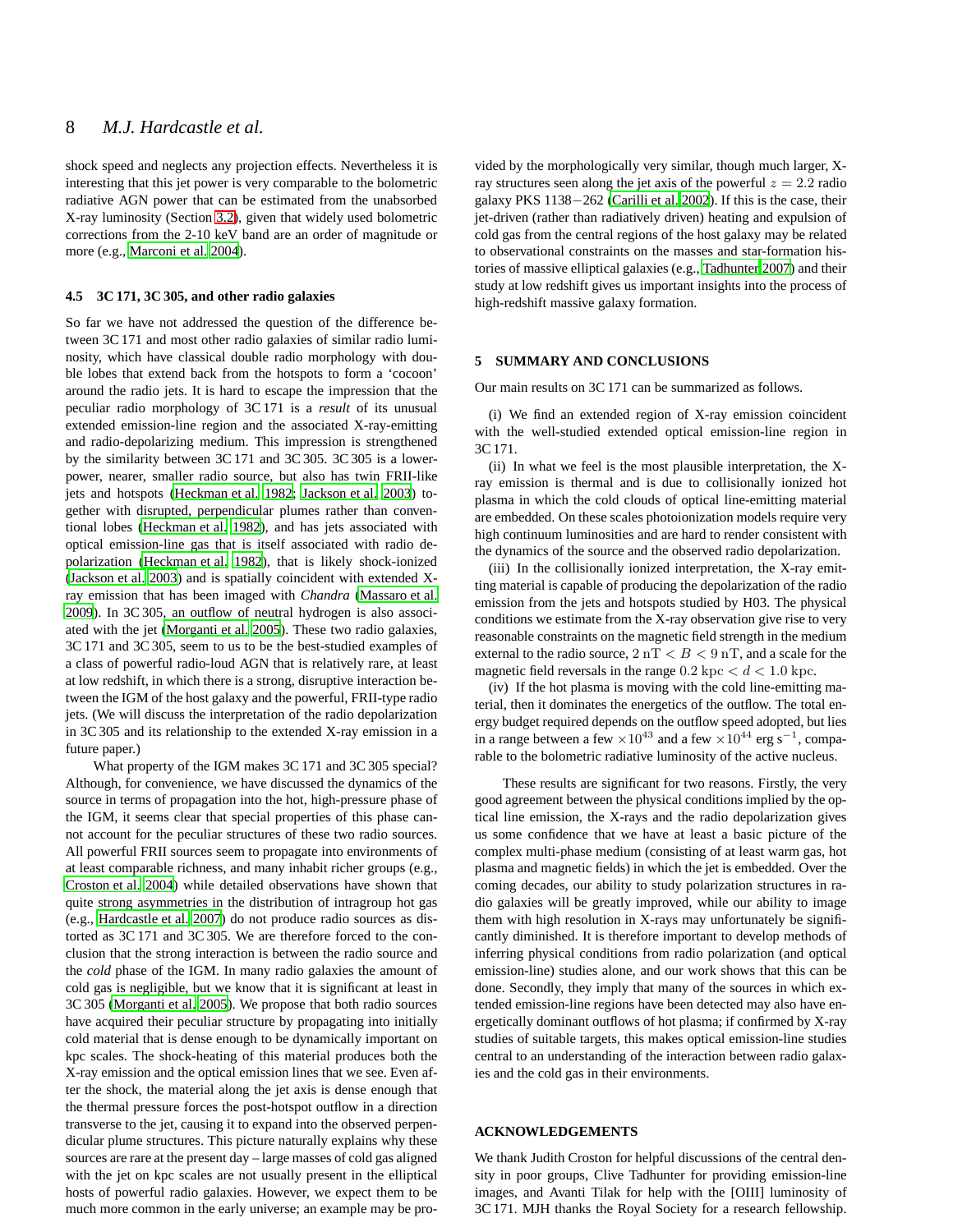shock speed and neglects any projection effects. Nevertheless it is interesting that this jet power is very comparable to the bolometric radiative AGN power that can be estimated from the unabsorbed X-ray luminosity (Section [3.2\)](#page-2-0), given that widely used bolometric corrections from the 2-10 keV band are an order of magnitude or more (e.g., [Marconi et al. 2004](#page-8-31)).

## <span id="page-7-0"></span>**4.5 3C 171, 3C 305, and other radio galaxies**

So far we have not addressed the question of the difference between 3C 171 and most other radio galaxies of similar radio luminosity, which have classical double radio morphology with double lobes that extend back from the hotspots to form a 'cocoon' around the radio jets. It is hard to escape the impression that the peculiar radio morphology of 3C 171 is a *result* of its unusual extended emission-line region and the associated X-ray-emitting and radio-depolarizing medium. This impression is strengthened by the similarity between 3C 171 and 3C 305. 3C 305 is a lowerpower, nearer, smaller radio source, but also has twin FRII-like jets and hotspots [\(Heckman et al. 1982](#page-8-32); [Jackson et al. 2003](#page-8-33)) together with disrupted, perpendicular plumes rather than conventional lobes [\(Heckman et al. 1982](#page-8-32)), and has jets associated with optical emission-line gas that is itself associated with radio depolarization [\(Heckman et al. 1982](#page-8-32)), that is likely shock-ionized [\(Jackson et al. 2003\)](#page-8-33) and is spatially coincident with extended Xray emission that has been imaged with *Chandra* [\(Massaro et al.](#page-8-34) [2009\)](#page-8-34). In 3C 305, an outflow of neutral hydrogen is also associated with the jet [\(Morganti et al. 2005](#page-8-35)). These two radio galaxies, 3C 171 and 3C 305, seem to us to be the best-studied examples of a class of powerful radio-loud AGN that is relatively rare, at least at low redshift, in which there is a strong, disruptive interaction between the IGM of the host galaxy and the powerful, FRII-type radio jets. (We will discuss the interpretation of the radio depolarization in 3C 305 and its relationship to the extended X-ray emission in a future paper.)

What property of the IGM makes 3C 171 and 3C 305 special? Although, for convenience, we have discussed the dynamics of the source in terms of propagation into the hot, high-pressure phase of the IGM, it seems clear that special properties of this phase cannot account for the peculiar structures of these two radio sources. All powerful FRII sources seem to propagate into environments of at least comparable richness, and many inhabit richer groups (e.g., [Croston et al. 2004](#page-8-36)) while detailed observations have shown that quite strong asymmetries in the distribution of intragroup hot gas (e.g., [Hardcastle et al. 2007](#page-8-37)) do not produce radio sources as distorted as 3C 171 and 3C 305. We are therefore forced to the conclusion that the strong interaction is between the radio source and the *cold* phase of the IGM. In many radio galaxies the amount of cold gas is negligible, but we know that it is significant at least in 3C 305 [\(Morganti et al. 2005](#page-8-35)). We propose that both radio sources have acquired their peculiar structure by propagating into initially cold material that is dense enough to be dynamically important on kpc scales. The shock-heating of this material produces both the X-ray emission and the optical emission lines that we see. Even after the shock, the material along the jet axis is dense enough that the thermal pressure forces the post-hotspot outflow in a direction transverse to the jet, causing it to expand into the observed perpendicular plume structures. This picture naturally explains why these sources are rare at the present day – large masses of cold gas aligned with the jet on kpc scales are not usually present in the elliptical hosts of powerful radio galaxies. However, we expect them to be much more common in the early universe; an example may be pro-

vided by the morphologically very similar, though much larger, Xray structures seen along the jet axis of the powerful  $z = 2.2$  radio galaxy PKS 1138−262 [\(Carilli et al. 2002](#page-8-38)). If this is the case, their jet-driven (rather than radiatively driven) heating and expulsion of cold gas from the central regions of the host galaxy may be related to observational constraints on the masses and star-formation histories of massive elliptical galaxies (e.g., [Tadhunter 2007\)](#page-8-39) and their study at low redshift gives us important insights into the process of high-redshift massive galaxy formation.

## **5 SUMMARY AND CONCLUSIONS**

Our main results on 3C 171 can be summarized as follows.

(i) We find an extended region of X-ray emission coincident with the well-studied extended optical emission-line region in 3C 171.

(ii) In what we feel is the most plausible interpretation, the Xray emission is thermal and is due to collisionally ionized hot plasma in which the cold clouds of optical line-emitting material are embedded. On these scales photoionization models require very high continuum luminosities and are hard to render consistent with the dynamics of the source and the observed radio depolarization.

(iii) In the collisionally ionized interpretation, the X-ray emitting material is capable of producing the depolarization of the radio emission from the jets and hotspots studied by H03. The physical conditions we estimate from the X-ray observation give rise to very reasonable constraints on the magnetic field strength in the medium external to the radio source,  $2 nT < B < 9 nT$ , and a scale for the magnetic field reversals in the range  $0.2 \text{ kpc} < d < 1.0 \text{ kpc}$ .

(iv) If the hot plasma is moving with the cold line-emitting material, then it dominates the energetics of the outflow. The total energy budget required depends on the outflow speed adopted, but lies in a range between a few  $\times 10^{43}$  and a few  $\times 10^{44}$  erg s<sup>-1</sup>, comparable to the bolometric radiative luminosity of the active nucleus.

These results are significant for two reasons. Firstly, the very good agreement between the physical conditions implied by the optical line emission, the X-rays and the radio depolarization gives us some confidence that we have at least a basic picture of the complex multi-phase medium (consisting of at least warm gas, hot plasma and magnetic fields) in which the jet is embedded. Over the coming decades, our ability to study polarization structures in radio galaxies will be greatly improved, while our ability to image them with high resolution in X-rays may unfortunately be significantly diminished. It is therefore important to develop methods of inferring physical conditions from radio polarization (and optical emission-line) studies alone, and our work shows that this can be done. Secondly, they imply that many of the sources in which extended emission-line regions have been detected may also have energetically dominant outflows of hot plasma; if confirmed by X-ray studies of suitable targets, this makes optical emission-line studies central to an understanding of the interaction between radio galaxies and the cold gas in their environments.

## **ACKNOWLEDGEMENTS**

We thank Judith Croston for helpful discussions of the central density in poor groups, Clive Tadhunter for providing emission-line images, and Avanti Tilak for help with the [OIII] luminosity of 3C 171. MJH thanks the Royal Society for a research fellowship.